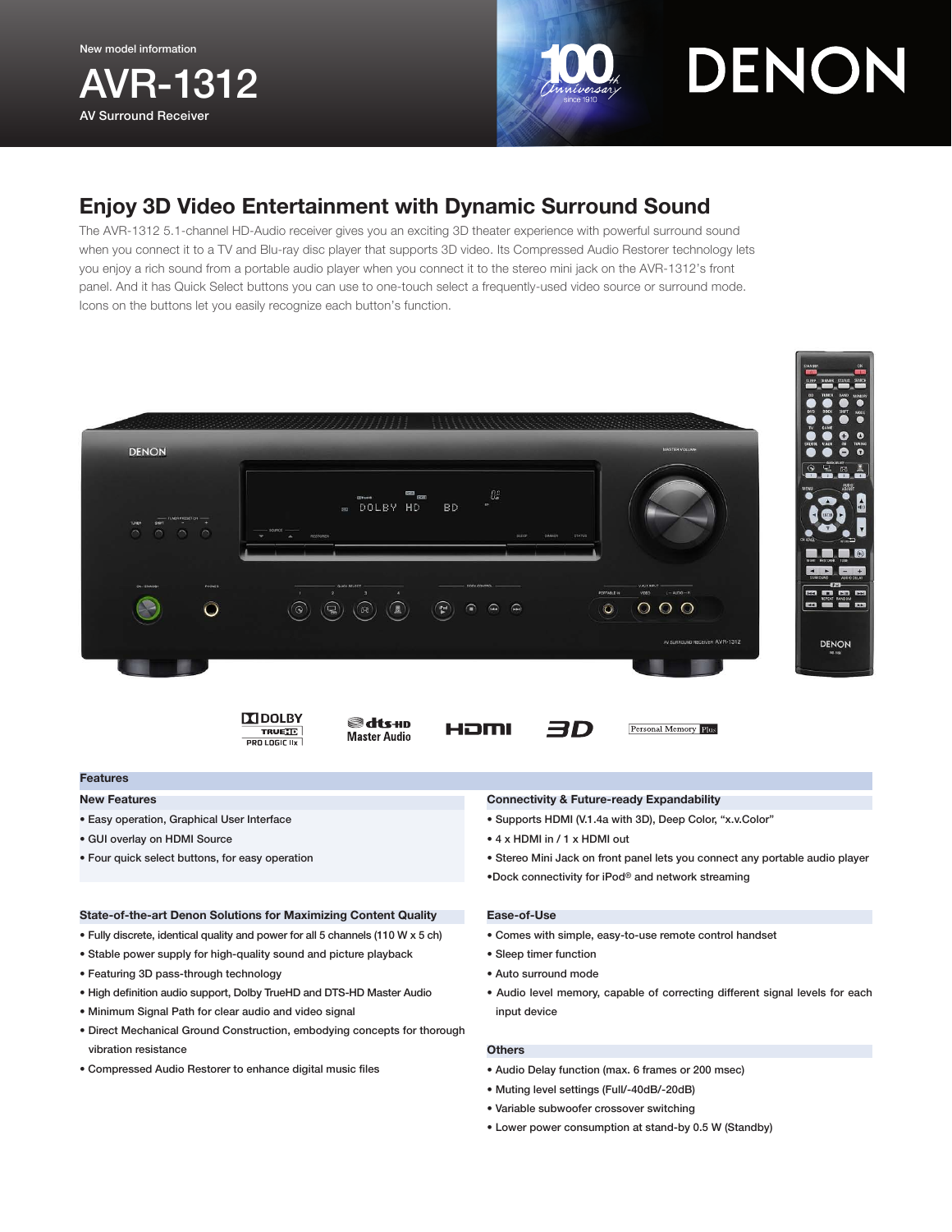New model information





# Enjoy 3D Video Entertainment with Dynamic Surround Sound

The AVR-1312 5.1-channel HD-Audio receiver gives you an exciting 3D theater experience with powerful surround sound when you connect it to a TV and Blu-ray disc player that supports 3D video. Its Compressed Audio Restorer technology lets you enjoy a rich sound from a portable audio player when you connect it to the stereo mini jack on the AVR-1312's front panel. And it has Quick Select buttons you can use to one-touch select a frequently-used video source or surround mode. Icons on the buttons let you easily recognize each button's function.



#### Features

- New Features
- Easy operation, Graphical User Interface
- GUI overlay on HDMI Source
- Four quick select buttons, for easy operation

#### State-of-the-art Denon Solutions for Maximizing Content Quality

- Fully discrete, identical quality and power for all 5 channels (110 W x 5 ch)
- Stable power supply for high-quality sound and picture playback
- Featuring 3D pass-through technology
- High definition audio support, Dolby TrueHD and DTS-HD Master Audio
- Minimum Signal Path for clear audio and video signal
- Direct Mechanical Ground Construction, embodying concepts for thorough vibration resistance
- Compressed Audio Restorer to enhance digital music files

#### Connectivity & Future-ready Expandability

- Supports HDMI (V.1.4a with 3D), Deep Color, "x.v.Color"
- 4 x HDMI in / 1 x HDMI out
- Stereo Mini Jack on front panel lets you connect any portable audio player •Dock connectivity for iPod® and network streaming

#### Ease-of-Use

- Comes with simple, easy-to-use remote control handset
- Sleep timer function
- Auto surround mode
- Audio level memory, capable of correcting different signal levels for each input device

#### **Others**

- Audio Delay function (max. 6 frames or 200 msec)
- Muting level settings (Full/-40dB/-20dB)
- Variable subwoofer crossover switching
- Lower power consumption at stand-by 0.5 W (Standby)